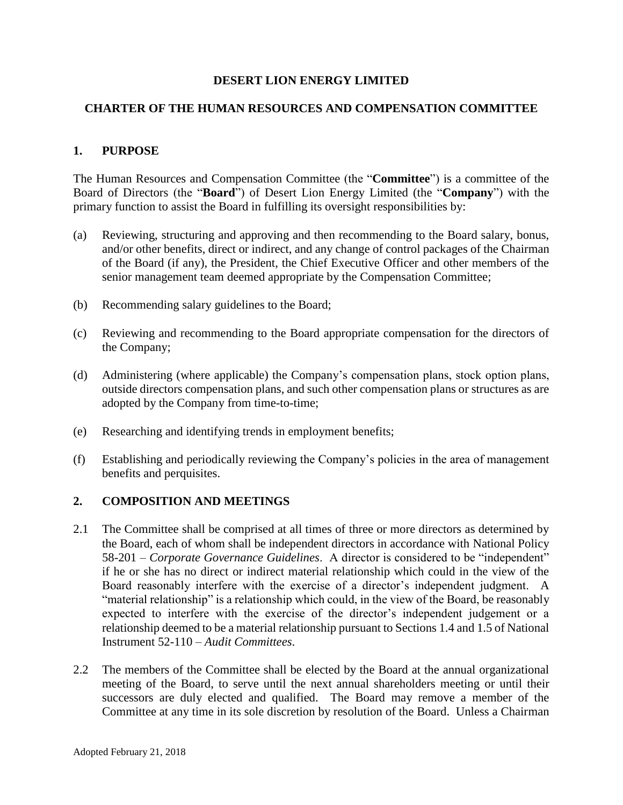### **DESERT LION ENERGY LIMITED**

#### **CHARTER OF THE HUMAN RESOURCES AND COMPENSATION COMMITTEE**

### **1. PURPOSE**

The Human Resources and Compensation Committee (the "**Committee**") is a committee of the Board of Directors (the "**Board**") of Desert Lion Energy Limited (the "**Company**") with the primary function to assist the Board in fulfilling its oversight responsibilities by:

- (a) Reviewing, structuring and approving and then recommending to the Board salary, bonus, and/or other benefits, direct or indirect, and any change of control packages of the Chairman of the Board (if any), the President, the Chief Executive Officer and other members of the senior management team deemed appropriate by the Compensation Committee;
- (b) Recommending salary guidelines to the Board;
- (c) Reviewing and recommending to the Board appropriate compensation for the directors of the Company;
- (d) Administering (where applicable) the Company's compensation plans, stock option plans, outside directors compensation plans, and such other compensation plans or structures as are adopted by the Company from time-to-time;
- (e) Researching and identifying trends in employment benefits;
- (f) Establishing and periodically reviewing the Company's policies in the area of management benefits and perquisites.

#### **2. COMPOSITION AND MEETINGS**

- 2.1 The Committee shall be comprised at all times of three or more directors as determined by the Board, each of whom shall be independent directors in accordance with National Policy 58-201 – *Corporate Governance Guidelines*. A director is considered to be "independent" if he or she has no direct or indirect material relationship which could in the view of the Board reasonably interfere with the exercise of a director's independent judgment. A "material relationship" is a relationship which could, in the view of the Board, be reasonably expected to interfere with the exercise of the director's independent judgement or a relationship deemed to be a material relationship pursuant to Sections 1.4 and 1.5 of National Instrument 52-110 – *Audit Committees*.
- 2.2 The members of the Committee shall be elected by the Board at the annual organizational meeting of the Board, to serve until the next annual shareholders meeting or until their successors are duly elected and qualified. The Board may remove a member of the Committee at any time in its sole discretion by resolution of the Board. Unless a Chairman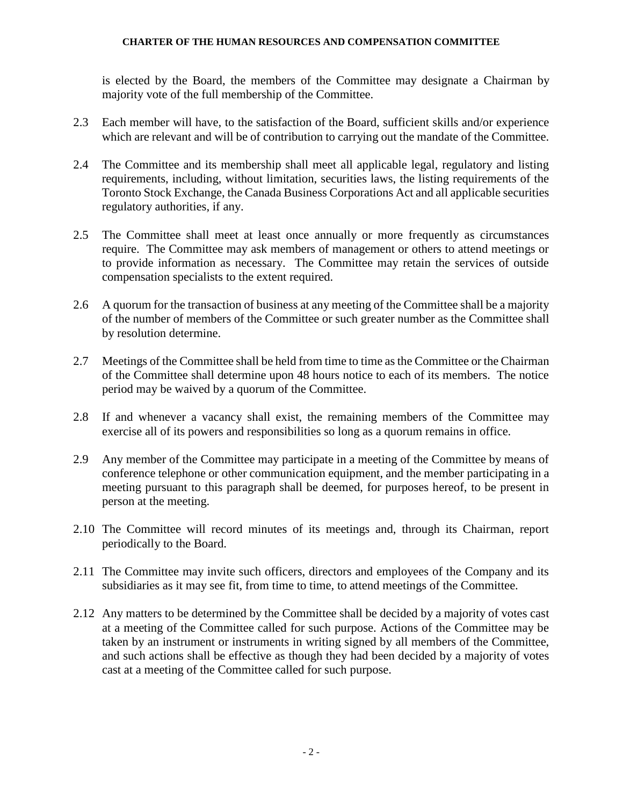is elected by the Board, the members of the Committee may designate a Chairman by majority vote of the full membership of the Committee.

- 2.3 Each member will have, to the satisfaction of the Board, sufficient skills and/or experience which are relevant and will be of contribution to carrying out the mandate of the Committee.
- 2.4 The Committee and its membership shall meet all applicable legal, regulatory and listing requirements, including, without limitation, securities laws, the listing requirements of the Toronto Stock Exchange, the Canada Business Corporations Act and all applicable securities regulatory authorities, if any.
- 2.5 The Committee shall meet at least once annually or more frequently as circumstances require. The Committee may ask members of management or others to attend meetings or to provide information as necessary. The Committee may retain the services of outside compensation specialists to the extent required.
- 2.6 A quorum for the transaction of business at any meeting of the Committee shall be a majority of the number of members of the Committee or such greater number as the Committee shall by resolution determine.
- 2.7 Meetings of the Committee shall be held from time to time as the Committee or the Chairman of the Committee shall determine upon 48 hours notice to each of its members. The notice period may be waived by a quorum of the Committee.
- 2.8 If and whenever a vacancy shall exist, the remaining members of the Committee may exercise all of its powers and responsibilities so long as a quorum remains in office.
- 2.9 Any member of the Committee may participate in a meeting of the Committee by means of conference telephone or other communication equipment, and the member participating in a meeting pursuant to this paragraph shall be deemed, for purposes hereof, to be present in person at the meeting.
- 2.10 The Committee will record minutes of its meetings and, through its Chairman, report periodically to the Board.
- 2.11 The Committee may invite such officers, directors and employees of the Company and its subsidiaries as it may see fit, from time to time, to attend meetings of the Committee.
- 2.12 Any matters to be determined by the Committee shall be decided by a majority of votes cast at a meeting of the Committee called for such purpose. Actions of the Committee may be taken by an instrument or instruments in writing signed by all members of the Committee, and such actions shall be effective as though they had been decided by a majority of votes cast at a meeting of the Committee called for such purpose.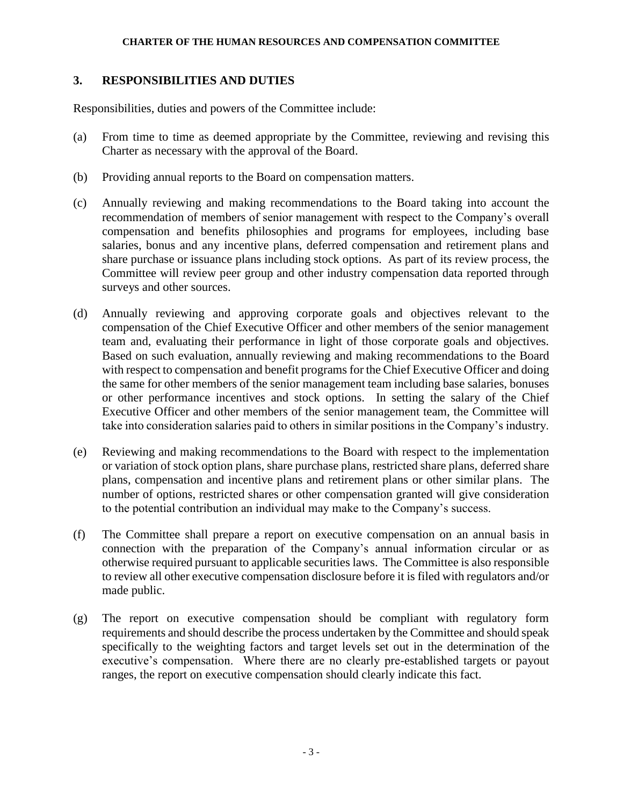### **3. RESPONSIBILITIES AND DUTIES**

Responsibilities, duties and powers of the Committee include:

- (a) From time to time as deemed appropriate by the Committee, reviewing and revising this Charter as necessary with the approval of the Board.
- (b) Providing annual reports to the Board on compensation matters.
- (c) Annually reviewing and making recommendations to the Board taking into account the recommendation of members of senior management with respect to the Company's overall compensation and benefits philosophies and programs for employees, including base salaries, bonus and any incentive plans, deferred compensation and retirement plans and share purchase or issuance plans including stock options. As part of its review process, the Committee will review peer group and other industry compensation data reported through surveys and other sources.
- (d) Annually reviewing and approving corporate goals and objectives relevant to the compensation of the Chief Executive Officer and other members of the senior management team and, evaluating their performance in light of those corporate goals and objectives. Based on such evaluation, annually reviewing and making recommendations to the Board with respect to compensation and benefit programs for the Chief Executive Officer and doing the same for other members of the senior management team including base salaries, bonuses or other performance incentives and stock options. In setting the salary of the Chief Executive Officer and other members of the senior management team, the Committee will take into consideration salaries paid to others in similar positions in the Company's industry.
- (e) Reviewing and making recommendations to the Board with respect to the implementation or variation of stock option plans, share purchase plans, restricted share plans, deferred share plans, compensation and incentive plans and retirement plans or other similar plans. The number of options, restricted shares or other compensation granted will give consideration to the potential contribution an individual may make to the Company's success.
- (f) The Committee shall prepare a report on executive compensation on an annual basis in connection with the preparation of the Company's annual information circular or as otherwise required pursuant to applicable securities laws. The Committee is also responsible to review all other executive compensation disclosure before it is filed with regulators and/or made public.
- (g) The report on executive compensation should be compliant with regulatory form requirements and should describe the process undertaken by the Committee and should speak specifically to the weighting factors and target levels set out in the determination of the executive's compensation. Where there are no clearly pre-established targets or payout ranges, the report on executive compensation should clearly indicate this fact.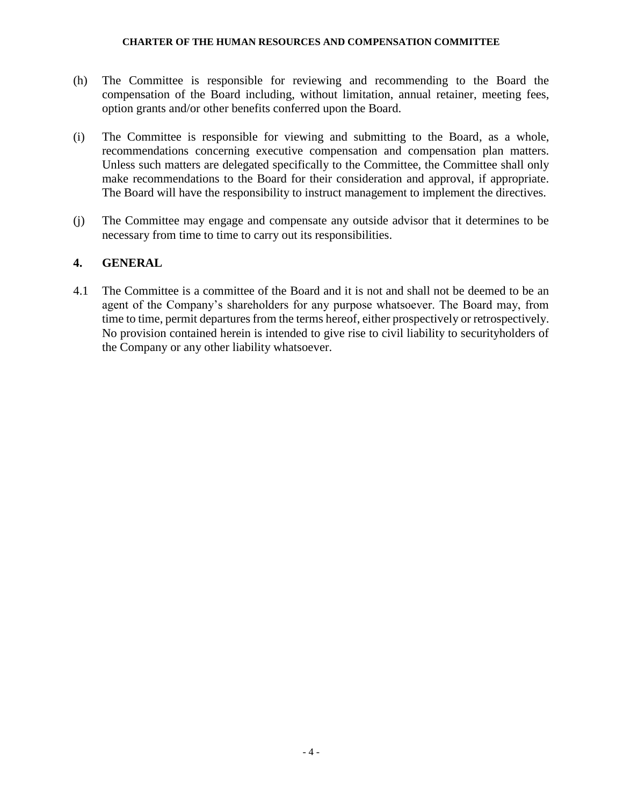- (h) The Committee is responsible for reviewing and recommending to the Board the compensation of the Board including, without limitation, annual retainer, meeting fees, option grants and/or other benefits conferred upon the Board.
- (i) The Committee is responsible for viewing and submitting to the Board, as a whole, recommendations concerning executive compensation and compensation plan matters. Unless such matters are delegated specifically to the Committee, the Committee shall only make recommendations to the Board for their consideration and approval, if appropriate. The Board will have the responsibility to instruct management to implement the directives.
- (j) The Committee may engage and compensate any outside advisor that it determines to be necessary from time to time to carry out its responsibilities.

### **4. GENERAL**

4.1 The Committee is a committee of the Board and it is not and shall not be deemed to be an agent of the Company's shareholders for any purpose whatsoever. The Board may, from time to time, permit departures from the terms hereof, either prospectively or retrospectively. No provision contained herein is intended to give rise to civil liability to securityholders of the Company or any other liability whatsoever.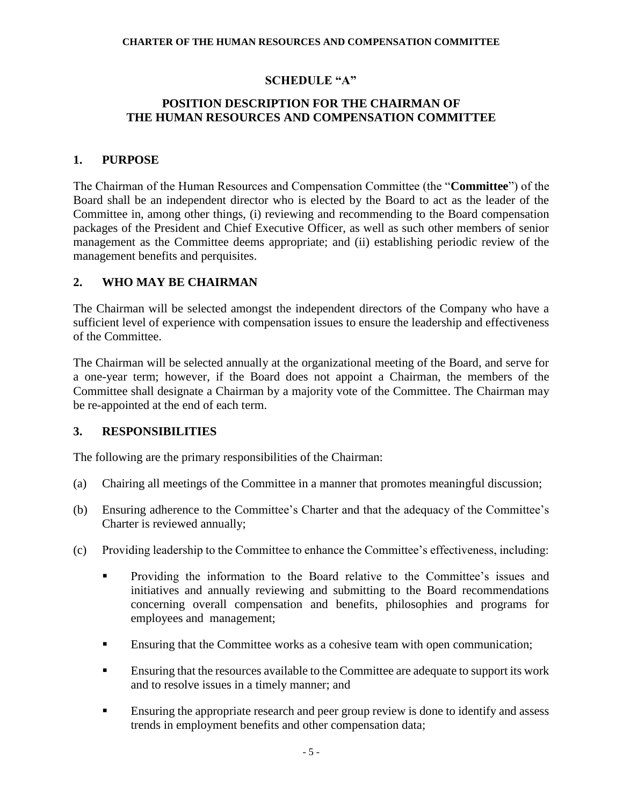# **SCHEDULE "A"**

# **POSITION DESCRIPTION FOR THE CHAIRMAN OF THE HUMAN RESOURCES AND COMPENSATION COMMITTEE**

### **1. PURPOSE**

The Chairman of the Human Resources and Compensation Committee (the "**Committee**") of the Board shall be an independent director who is elected by the Board to act as the leader of the Committee in, among other things, (i) reviewing and recommending to the Board compensation packages of the President and Chief Executive Officer, as well as such other members of senior management as the Committee deems appropriate; and (ii) establishing periodic review of the management benefits and perquisites.

# **2. WHO MAY BE CHAIRMAN**

The Chairman will be selected amongst the independent directors of the Company who have a sufficient level of experience with compensation issues to ensure the leadership and effectiveness of the Committee.

The Chairman will be selected annually at the organizational meeting of the Board, and serve for a one-year term; however, if the Board does not appoint a Chairman, the members of the Committee shall designate a Chairman by a majority vote of the Committee. The Chairman may be re-appointed at the end of each term.

# **3. RESPONSIBILITIES**

The following are the primary responsibilities of the Chairman:

- (a) Chairing all meetings of the Committee in a manner that promotes meaningful discussion;
- (b) Ensuring adherence to the Committee's Charter and that the adequacy of the Committee's Charter is reviewed annually;
- (c) Providing leadership to the Committee to enhance the Committee's effectiveness, including:
	- **•** Providing the information to the Board relative to the Committee's issues and initiatives and annually reviewing and submitting to the Board recommendations concerning overall compensation and benefits, philosophies and programs for employees and management;
	- **Ensuring that the Committee works as a cohesive team with open communication;**
	- Ensuring that the resources available to the Committee are adequate to support its work and to resolve issues in a timely manner; and
	- **Ensuring the appropriate research and peer group review is done to identify and assess** trends in employment benefits and other compensation data;